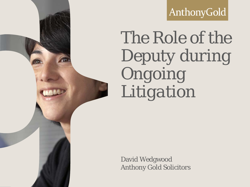AnthonyGold

# *The Role of the Deputy during Ongoing Litigation*

David Wedgwood Anthony Gold Solicitors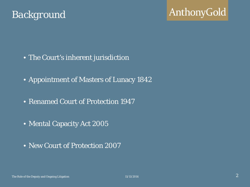### *Background*

- The Court's inherent jurisdiction
- Appointment of Masters of Lunacy 1842
- Renamed Court of Protection 1947
- Mental Capacity Act 2005
- New Court of Protection 2007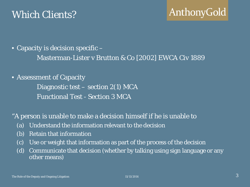### *Which Clients?*

• Capacity is decision specific –

Masterman-Lister v Brutton & Co [2002] EWCA Civ 1889

• Assessment of Capacity

Diagnostic test – section 2(1) MCA Functional Test - Section 3 MCA

"A person is unable to make a decision himself if he is unable to

- (a) Understand the information relevant to the decision
- (b) Retain that information
- (c) Use or weight that information as part of the process of the decision
- (d) Communicate that decision (whether by talking using sign language or any other means)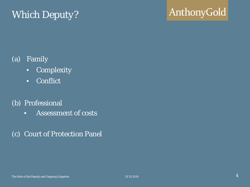## *Which Deputy?*

# AnthonyGold

#### (a) Family

- Complexity
- Conflict

#### (b) Professional

- Assessment of costs
- (c) Court of Protection Panel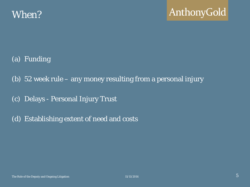- (a) Funding
- (b) 52 week rule any money resulting from a personal injury
- (c) Delays Personal Injury Trust
- (d) Establishing extent of need and costs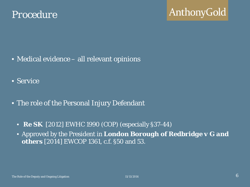- Medical evidence all relevant opinions
- Service
- The role of the Personal Injury Defendant
	- *Re SK* [2012] EWHC 1990 (COP) (especially §37-44)
	- Approved by the President in *London Borough of Redbridge v G and others* [2014] EWCOP 1361, c.f. §50 and 53.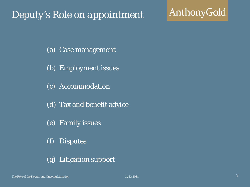### *Deputy's Role on appointment*

# AnthonyGold

- (a) Case management
- (b) Employment issues
- (c) Accommodation
- (d) Tax and benefit advice
- (e) Family issues
- (f) Disputes
- (g) Litigation support